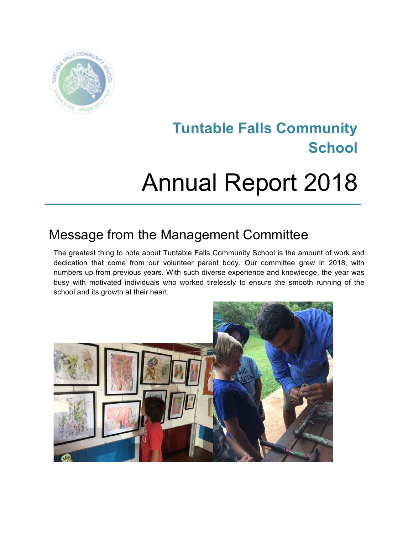

# **Tuntable Falls Community School**

# Annual Report 2018

# Message from the Management Committee

The greatest thing to note about Tuntable Falls Community School is the amount of work and dedication that come from our volunteer parent body. Our committee grew in 2018, with numbers up from previous years. With such diverse experience and knowledge, the year was busy with motivated individuals who worked tirelessly to ensure the smooth running of the school and its growth at their heart.

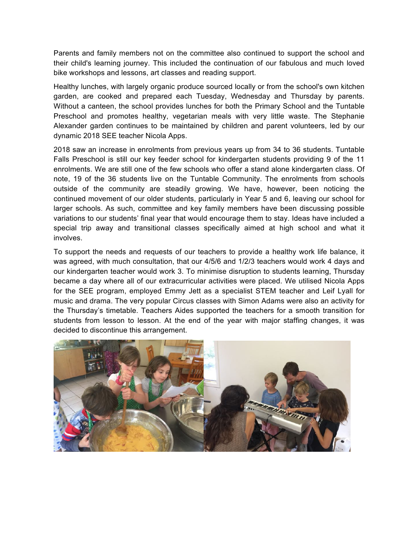Parents and family members not on the committee also continued to support the school and their child's learning journey. This included the continuation of our fabulous and much loved bike workshops and lessons, art classes and reading support.

Healthy lunches, with largely organic produce sourced locally or from the school's own kitchen garden, are cooked and prepared each Tuesday, Wednesday and Thursday by parents. Without a canteen, the school provides lunches for both the Primary School and the Tuntable Preschool and promotes healthy, vegetarian meals with very little waste. The Stephanie Alexander garden continues to be maintained by children and parent volunteers, led by our dynamic 2018 SEE teacher Nicola Apps.

2018 saw an increase in enrolments from previous years up from 34 to 36 students. Tuntable Falls Preschool is still our key feeder school for kindergarten students providing 9 of the 11 enrolments. We are still one of the few schools who offer a stand alone kindergarten class. Of note, 19 of the 36 students live on the Tuntable Community. The enrolments from schools outside of the community are steadily growing. We have, however, been noticing the continued movement of our older students, particularly in Year 5 and 6, leaving our school for larger schools. As such, committee and key family members have been discussing possible variations to our students' final year that would encourage them to stay. Ideas have included a special trip away and transitional classes specifically aimed at high school and what it involves.

To support the needs and requests of our teachers to provide a healthy work life balance, it was agreed, with much consultation, that our 4/5/6 and 1/2/3 teachers would work 4 days and our kindergarten teacher would work 3. To minimise disruption to students learning, Thursday became a day where all of our extracurricular activities were placed. We utilised Nicola Apps for the SEE program, employed Emmy Jett as a specialist STEM teacher and Leif Lyall for music and drama. The very popular Circus classes with Simon Adams were also an activity for the Thursday's timetable. Teachers Aides supported the teachers for a smooth transition for students from lesson to lesson. At the end of the year with major staffing changes, it was decided to discontinue this arrangement.

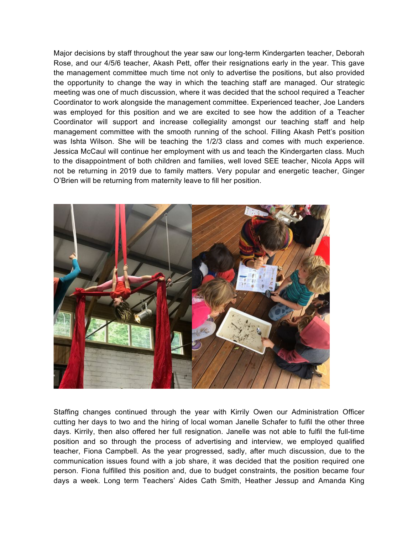Major decisions by staff throughout the year saw our long-term Kindergarten teacher, Deborah Rose, and our 4/5/6 teacher, Akash Pett, offer their resignations early in the year. This gave the management committee much time not only to advertise the positions, but also provided the opportunity to change the way in which the teaching staff are managed. Our strategic meeting was one of much discussion, where it was decided that the school required a Teacher Coordinator to work alongside the management committee. Experienced teacher, Joe Landers was employed for this position and we are excited to see how the addition of a Teacher Coordinator will support and increase collegiality amongst our teaching staff and help management committee with the smooth running of the school. Filling Akash Pett's position was Ishta Wilson. She will be teaching the 1/2/3 class and comes with much experience. Jessica McCaul will continue her employment with us and teach the Kindergarten class. Much to the disappointment of both children and families, well loved SEE teacher, Nicola Apps will not be returning in 2019 due to family matters. Very popular and energetic teacher, Ginger O'Brien will be returning from maternity leave to fill her position.



Staffing changes continued through the year with Kirrily Owen our Administration Officer cutting her days to two and the hiring of local woman Janelle Schafer to fulfil the other three days. Kirrily, then also offered her full resignation. Janelle was not able to fulfil the full-time position and so through the process of advertising and interview, we employed qualified teacher, Fiona Campbell. As the year progressed, sadly, after much discussion, due to the communication issues found with a job share, it was decided that the position required one person. Fiona fulfilled this position and, due to budget constraints, the position became four days a week. Long term Teachers' Aides Cath Smith, Heather Jessup and Amanda King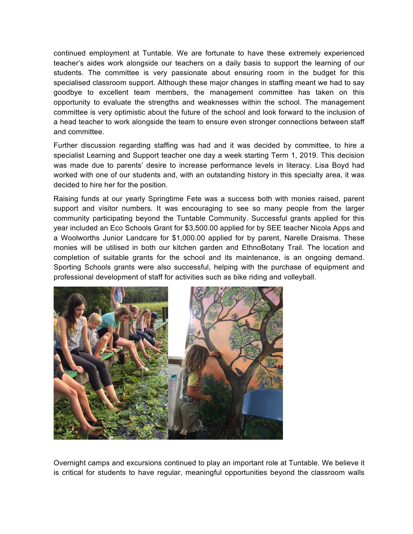continued employment at Tuntable. We are fortunate to have these extremely experienced teacher's aides work alongside our teachers on a daily basis to support the learning of our students. The committee is very passionate about ensuring room in the budget for this specialised classroom support. Although these major changes in staffing meant we had to say goodbye to excellent team members, the management committee has taken on this opportunity to evaluate the strengths and weaknesses within the school. The management committee is very optimistic about the future of the school and look forward to the inclusion of a head teacher to work alongside the team to ensure even stronger connections between staff and committee.

Further discussion regarding staffing was had and it was decided by committee, to hire a specialist Learning and Support teacher one day a week starting Term 1, 2019. This decision was made due to parents' desire to increase performance levels in literacy. Lisa Boyd had worked with one of our students and, with an outstanding history in this specialty area, it was decided to hire her for the position.

Raising funds at our yearly Springtime Fete was a success both with monies raised, parent support and visitor numbers. It was encouraging to see so many people from the larger community participating beyond the Tuntable Community. Successful grants applied for this year included an Eco Schools Grant for \$3,500.00 applied for by SEE teacher Nicola Apps and a Woolworths Junior Landcare for \$1,000.00 applied for by parent, Narelle Draisma. These monies will be utilised in both our kitchen garden and EthnoBotany Trail. The location and completion of suitable grants for the school and its maintenance, is an ongoing demand. Sporting Schools grants were also successful, helping with the purchase of equipment and professional development of staff for activities such as bike riding and volleyball.



Overnight camps and excursions continued to play an important role at Tuntable. We believe it is critical for students to have regular, meaningful opportunities beyond the classroom walls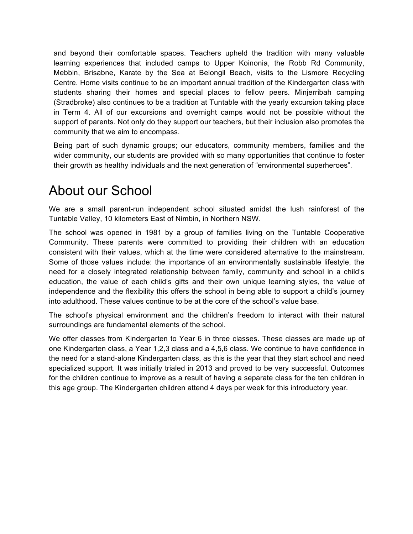and beyond their comfortable spaces. Teachers upheld the tradition with many valuable learning experiences that included camps to Upper Koinonia, the Robb Rd Community, Mebbin, Brisabne, Karate by the Sea at Belongil Beach, visits to the Lismore Recycling Centre. Home visits continue to be an important annual tradition of the Kindergarten class with students sharing their homes and special places to fellow peers. Minjerribah camping (Stradbroke) also continues to be a tradition at Tuntable with the yearly excursion taking place in Term 4. All of our excursions and overnight camps would not be possible without the support of parents. Not only do they support our teachers, but their inclusion also promotes the community that we aim to encompass.

Being part of such dynamic groups; our educators, community members, families and the wider community, our students are provided with so many opportunities that continue to foster their growth as healthy individuals and the next generation of "environmental superheroes".

# About our School

We are a small parent-run independent school situated amidst the lush rainforest of the Tuntable Valley, 10 kilometers East of Nimbin, in Northern NSW.

The school was opened in 1981 by a group of families living on the Tuntable Cooperative Community. These parents were committed to providing their children with an education consistent with their values, which at the time were considered alternative to the mainstream. Some of those values include: the importance of an environmentally sustainable lifestyle, the need for a closely integrated relationship between family, community and school in a child's education, the value of each child's gifts and their own unique learning styles, the value of independence and the flexibility this offers the school in being able to support a child's journey into adulthood. These values continue to be at the core of the school's value base.

The school's physical environment and the children's freedom to interact with their natural surroundings are fundamental elements of the school.

We offer classes from Kindergarten to Year 6 in three classes. These classes are made up of one Kindergarten class, a Year 1,2,3 class and a 4,5,6 class. We continue to have confidence in the need for a stand-alone Kindergarten class, as this is the year that they start school and need specialized support. It was initially trialed in 2013 and proved to be very successful. Outcomes for the children continue to improve as a result of having a separate class for the ten children in this age group. The Kindergarten children attend 4 days per week for this introductory year.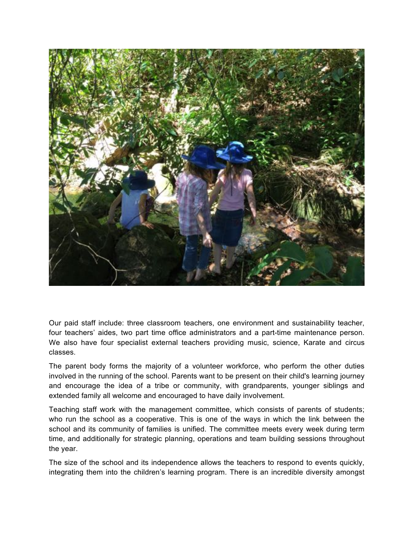

Our paid staff include: three classroom teachers, one environment and sustainability teacher, four teachers' aides, two part time office administrators and a part-time maintenance person. We also have four specialist external teachers providing music, science, Karate and circus classes.

The parent body forms the majority of a volunteer workforce, who perform the other duties involved in the running of the school. Parents want to be present on their child's learning journey and encourage the idea of a tribe or community, with grandparents, younger siblings and extended family all welcome and encouraged to have daily involvement.

Teaching staff work with the management committee, which consists of parents of students; who run the school as a cooperative. This is one of the ways in which the link between the school and its community of families is unified. The committee meets every week during term time, and additionally for strategic planning, operations and team building sessions throughout the year.

The size of the school and its independence allows the teachers to respond to events quickly, integrating them into the children's learning program. There is an incredible diversity amongst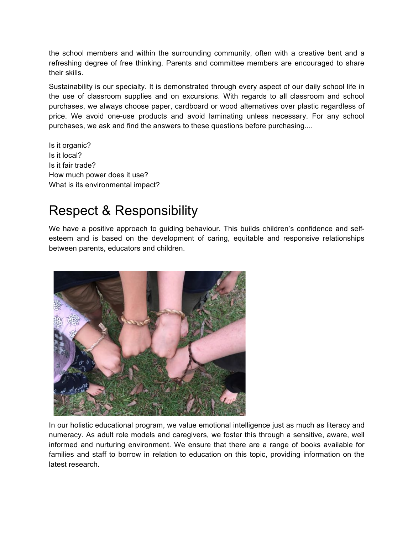the school members and within the surrounding community, often with a creative bent and a refreshing degree of free thinking. Parents and committee members are encouraged to share their skills.

Sustainability is our specialty. It is demonstrated through every aspect of our daily school life in the use of classroom supplies and on excursions. With regards to all classroom and school purchases, we always choose paper, cardboard or wood alternatives over plastic regardless of price. We avoid one-use products and avoid laminating unless necessary. For any school purchases, we ask and find the answers to these questions before purchasing....

Is it organic? Is it local? Is it fair trade? How much power does it use? What is its environmental impact?

# Respect & Responsibility

We have a positive approach to guiding behaviour. This builds children's confidence and selfesteem and is based on the development of caring, equitable and responsive relationships between parents, educators and children.



In our holistic educational program, we value emotional intelligence just as much as literacy and numeracy. As adult role models and caregivers, we foster this through a sensitive, aware, well informed and nurturing environment. We ensure that there are a range of books available for families and staff to borrow in relation to education on this topic, providing information on the latest research.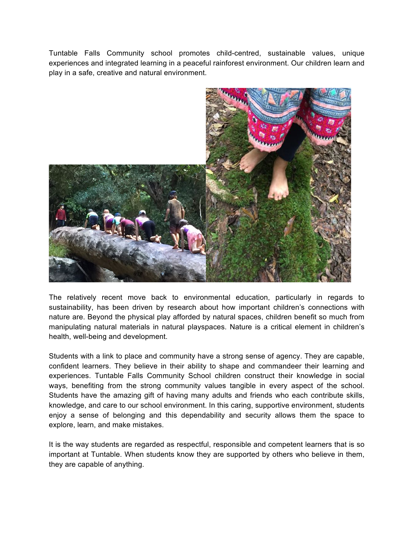Tuntable Falls Community school promotes child-centred, sustainable values, unique experiences and integrated learning in a peaceful rainforest environment. Our children learn and play in a safe, creative and natural environment.



The relatively recent move back to environmental education, particularly in regards to sustainability, has been driven by research about how important children's connections with nature are. Beyond the physical play afforded by natural spaces, children benefit so much from manipulating natural materials in natural playspaces. Nature is a critical element in children's health, well-being and development.

Students with a link to place and community have a strong sense of agency. They are capable, confident learners. They believe in their ability to shape and commandeer their learning and experiences. Tuntable Falls Community School children construct their knowledge in social ways, benefiting from the strong community values tangible in every aspect of the school. Students have the amazing gift of having many adults and friends who each contribute skills, knowledge, and care to our school environment. In this caring, supportive environment, students enjoy a sense of belonging and this dependability and security allows them the space to explore, learn, and make mistakes.

It is the way students are regarded as respectful, responsible and competent learners that is so important at Tuntable. When students know they are supported by others who believe in them, they are capable of anything.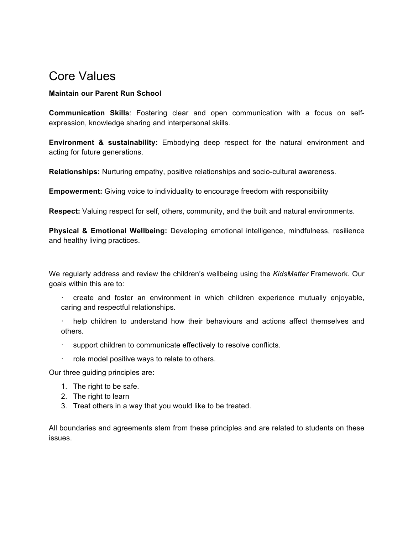## Core Values

#### **Maintain our Parent Run School**

**Communication Skills**: Fostering clear and open communication with a focus on selfexpression, knowledge sharing and interpersonal skills.

**Environment & sustainability:** Embodying deep respect for the natural environment and acting for future generations.

**Relationships:** Nurturing empathy, positive relationships and socio-cultural awareness.

**Empowerment:** Giving voice to individuality to encourage freedom with responsibility

**Respect:** Valuing respect for self, others, community, and the built and natural environments.

**Physical & Emotional Wellbeing:** Developing emotional intelligence, mindfulness, resilience and healthy living practices.

We regularly address and review the children's wellbeing using the *KidsMatter* Framework*.* Our goals within this are to:

- · create and foster an environment in which children experience mutually enjoyable, caring and respectful relationships.
- help children to understand how their behaviours and actions affect themselves and others.
- · support children to communicate effectively to resolve conflicts.
- · role model positive ways to relate to others.

Our three guiding principles are:

- 1. The right to be safe.
- 2. The right to learn
- 3. Treat others in a way that you would like to be treated.

All boundaries and agreements stem from these principles and are related to students on these issues.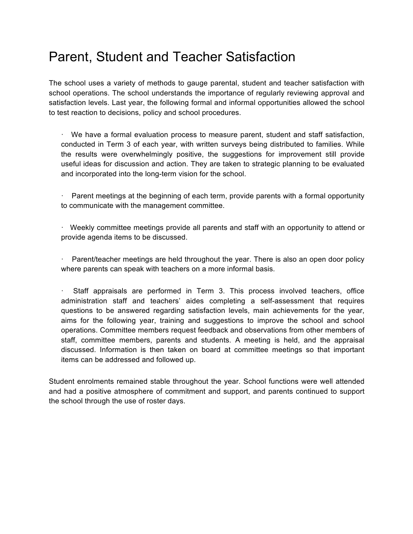# Parent, Student and Teacher Satisfaction

The school uses a variety of methods to gauge parental, student and teacher satisfaction with school operations. The school understands the importance of regularly reviewing approval and satisfaction levels. Last year, the following formal and informal opportunities allowed the school to test reaction to decisions, policy and school procedures.

· We have a formal evaluation process to measure parent, student and staff satisfaction, conducted in Term 3 of each year, with written surveys being distributed to families. While the results were overwhelmingly positive, the suggestions for improvement still provide useful ideas for discussion and action. They are taken to strategic planning to be evaluated and incorporated into the long-term vision for the school.

· Parent meetings at the beginning of each term, provide parents with a formal opportunity to communicate with the management committee.

· Weekly committee meetings provide all parents and staff with an opportunity to attend or provide agenda items to be discussed.

Parent/teacher meetings are held throughout the year. There is also an open door policy where parents can speak with teachers on a more informal basis.

Staff appraisals are performed in Term 3. This process involved teachers, office administration staff and teachers' aides completing a self-assessment that requires questions to be answered regarding satisfaction levels, main achievements for the year, aims for the following year, training and suggestions to improve the school and school operations. Committee members request feedback and observations from other members of staff, committee members, parents and students. A meeting is held, and the appraisal discussed. Information is then taken on board at committee meetings so that important items can be addressed and followed up.

Student enrolments remained stable throughout the year. School functions were well attended and had a positive atmosphere of commitment and support, and parents continued to support the school through the use of roster days.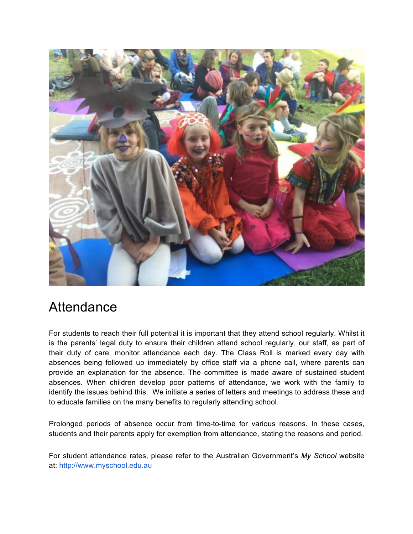

## **Attendance**

For students to reach their full potential it is important that they attend school regularly. Whilst it is the parents' legal duty to ensure their children attend school regularly, our staff, as part of their duty of care, monitor attendance each day. The Class Roll is marked every day with absences being followed up immediately by office staff via a phone call, where parents can provide an explanation for the absence. The committee is made aware of sustained student absences. When children develop poor patterns of attendance, we work with the family to identify the issues behind this. We initiate a series of letters and meetings to address these and to educate families on the many benefits to regularly attending school.

Prolonged periods of absence occur from time-to-time for various reasons. In these cases, students and their parents apply for exemption from attendance, stating the reasons and period.

For student attendance rates, please refer to the Australian Government's *My School* website at: http://www.myschool.edu.au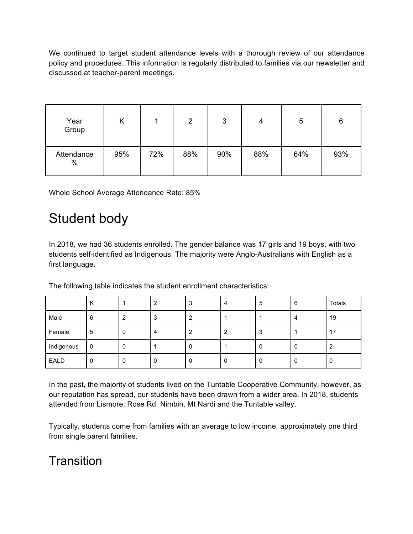We continued to target student attendance levels with a thorough review of our attendance policy and procedures. This information is regularly distributed to families via our newsletter and discussed at teacher-parent meetings.

| Year<br>Group      | Κ   |     | 2   | 3   | 4   | 5   | 6   |
|--------------------|-----|-----|-----|-----|-----|-----|-----|
| Attendance<br>$\%$ | 95% | 72% | 88% | 90% | 88% | 64% | 93% |

Whole School Average Attendance Rate: 85%

# Student body

In 2018, we had 36 students enrolled. The gender balance was 17 girls and 19 boys, with two students self-identified as Indigenous. The majority were Anglo-Australians with English as a first language.

|             | К |   | ◠ | 3 | 4 | 5 | 6 | Totals |
|-------------|---|---|---|---|---|---|---|--------|
| Male        | 6 | 2 | د | 2 |   |   |   | 19     |
| Female      | 5 | 0 |   | ົ | 2 | 3 |   | 17     |
| Indigenous  | 0 | 0 |   | 0 |   |   |   | c      |
| <b>EALD</b> | 0 | 0 |   | 0 | 0 |   |   | 0      |

The following table indicates the student enrollment characteristics:

In the past, the majority of students lived on the Tuntable Cooperative Community, however, as our reputation has spread, our students have been drawn from a wider area. In 2018, students attended from Lismore, Rose Rd, Nimbin, Mt Nardi and the Tuntable valley.

Typically, students come from families with an average to low income, approximately one third from single parent families.

## **Transition**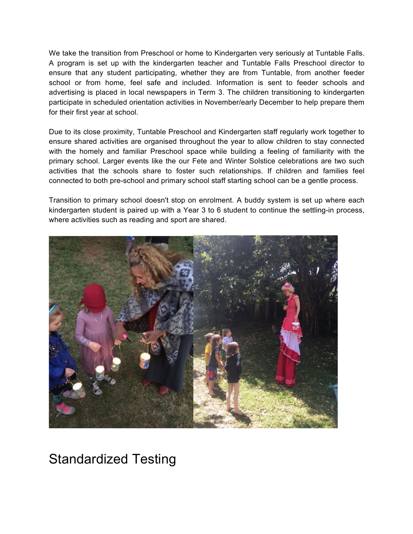We take the transition from Preschool or home to Kindergarten very seriously at Tuntable Falls. A program is set up with the kindergarten teacher and Tuntable Falls Preschool director to ensure that any student participating, whether they are from Tuntable, from another feeder school or from home, feel safe and included. Information is sent to feeder schools and advertising is placed in local newspapers in Term 3. The children transitioning to kindergarten participate in scheduled orientation activities in November/early December to help prepare them for their first year at school.

Due to its close proximity, Tuntable Preschool and Kindergarten staff regularly work together to ensure shared activities are organised throughout the year to allow children to stay connected with the homely and familiar Preschool space while building a feeling of familiarity with the primary school. Larger events like the our Fete and Winter Solstice celebrations are two such activities that the schools share to foster such relationships. If children and families feel connected to both pre-school and primary school staff starting school can be a gentle process.

Transition to primary school doesn't stop on enrolment. A buddy system is set up where each kindergarten student is paired up with a Year 3 to 6 student to continue the settling-in process, where activities such as reading and sport are shared.



## Standardized Testing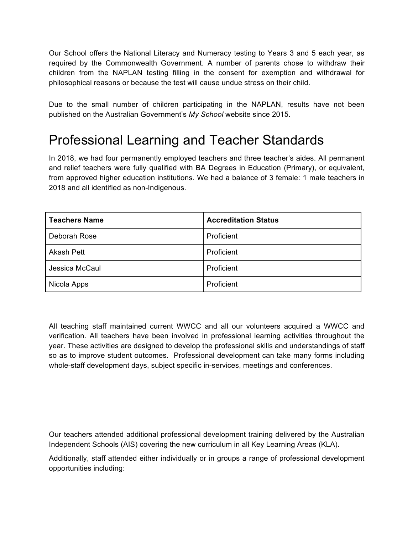Our School offers the National Literacy and Numeracy testing to Years 3 and 5 each year, as required by the Commonwealth Government. A number of parents chose to withdraw their children from the NAPLAN testing filling in the consent for exemption and withdrawal for philosophical reasons or because the test will cause undue stress on their child.

Due to the small number of children participating in the NAPLAN, results have not been published on the Australian Government's *My School* website since 2015.

# Professional Learning and Teacher Standards

In 2018, we had four permanently employed teachers and three teacher's aides. All permanent and relief teachers were fully qualified with BA Degrees in Education (Primary), or equivalent, from approved higher education institutions. We had a balance of 3 female: 1 male teachers in 2018 and all identified as non-Indigenous.

| <b>Teachers Name</b> | <b>Accreditation Status</b> |
|----------------------|-----------------------------|
| Deborah Rose         | Proficient                  |
| <b>Akash Pett</b>    | Proficient                  |
| Jessica McCaul       | Proficient                  |
| Nicola Apps          | Proficient                  |

All teaching staff maintained current WWCC and all our volunteers acquired a WWCC and verification. All teachers have been involved in professional learning activities throughout the year. These activities are designed to develop the professional skills and understandings of staff so as to improve student outcomes. Professional development can take many forms including whole-staff development days, subject specific in-services, meetings and conferences.

Our teachers attended additional professional development training delivered by the Australian Independent Schools (AIS) covering the new curriculum in all Key Learning Areas (KLA).

Additionally, staff attended either individually or in groups a range of professional development opportunities including: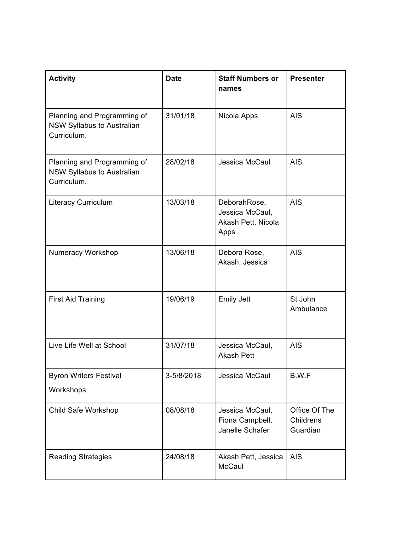| <b>Activity</b>                                                          | <b>Date</b> | <b>Staff Numbers or</b><br>names                              | <b>Presenter</b>                       |
|--------------------------------------------------------------------------|-------------|---------------------------------------------------------------|----------------------------------------|
| Planning and Programming of<br>NSW Syllabus to Australian<br>Curriculum. | 31/01/18    | Nicola Apps                                                   | <b>AIS</b>                             |
| Planning and Programming of<br>NSW Syllabus to Australian<br>Curriculum. | 28/02/18    | Jessica McCaul                                                | <b>AIS</b>                             |
| <b>Literacy Curriculum</b>                                               | 13/03/18    | DeborahRose,<br>Jessica McCaul,<br>Akash Pett, Nicola<br>Apps | <b>AIS</b>                             |
| Numeracy Workshop                                                        | 13/06/18    | Debora Rose,<br>Akash, Jessica                                | <b>AIS</b>                             |
| <b>First Aid Training</b>                                                | 19/06/19    | <b>Emily Jett</b>                                             | St John<br>Ambulance                   |
| Live Life Well at School                                                 | 31/07/18    | Jessica McCaul,<br><b>Akash Pett</b>                          | <b>AIS</b>                             |
| <b>Byron Writers Festival</b><br>Workshops                               | 3-5/8/2018  | Jessica McCaul                                                | B.W.F                                  |
| Child Safe Workshop                                                      | 08/08/18    | Jessica McCaul,<br>Fiona Campbell,<br>Janelle Schafer         | Office Of The<br>Childrens<br>Guardian |
| <b>Reading Strategies</b>                                                | 24/08/18    | Akash Pett, Jessica<br><b>McCaul</b>                          | <b>AIS</b>                             |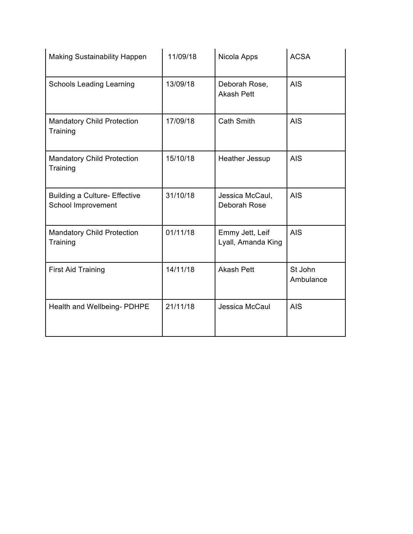| <b>Making Sustainability Happen</b>                        | 11/09/18 | Nicola Apps                           | <b>ACSA</b>          |
|------------------------------------------------------------|----------|---------------------------------------|----------------------|
| <b>Schools Leading Learning</b>                            | 13/09/18 | Deborah Rose,<br><b>Akash Pett</b>    | <b>AIS</b>           |
| <b>Mandatory Child Protection</b><br>Training              | 17/09/18 | <b>Cath Smith</b>                     | <b>AIS</b>           |
| <b>Mandatory Child Protection</b><br>Training              | 15/10/18 | Heather Jessup                        | <b>AIS</b>           |
| <b>Building a Culture- Effective</b><br>School Improvement | 31/10/18 | Jessica McCaul,<br>Deborah Rose       | <b>AIS</b>           |
| <b>Mandatory Child Protection</b><br>Training              | 01/11/18 | Emmy Jett, Leif<br>Lyall, Amanda King | <b>AIS</b>           |
| <b>First Aid Training</b>                                  | 14/11/18 | <b>Akash Pett</b>                     | St John<br>Ambulance |
| Health and Wellbeing- PDHPE                                | 21/11/18 | Jessica McCaul                        | <b>AIS</b>           |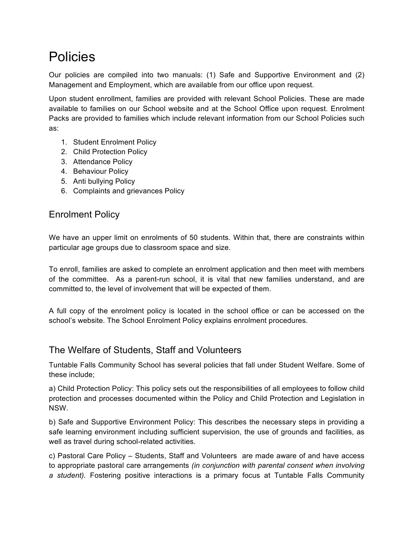# **Policies**

Our policies are compiled into two manuals: (1) Safe and Supportive Environment and (2) Management and Employment, which are available from our office upon request.

Upon student enrollment, families are provided with relevant School Policies. These are made available to families on our School website and at the School Office upon request. Enrolment Packs are provided to families which include relevant information from our School Policies such as:

- 1. Student Enrolment Policy
- 2. Child Protection Policy
- 3. Attendance Policy
- 4. Behaviour Policy
- 5. Anti bullying Policy
- 6. Complaints and grievances Policy

#### Enrolment Policy

We have an upper limit on enrolments of 50 students. Within that, there are constraints within particular age groups due to classroom space and size.

To enroll, families are asked to complete an enrolment application and then meet with members of the committee. As a parent-run school, it is vital that new families understand, and are committed to, the level of involvement that will be expected of them.

A full copy of the enrolment policy is located in the school office or can be accessed on the school's website. The School Enrolment Policy explains enrolment procedures.

#### The Welfare of Students, Staff and Volunteers

Tuntable Falls Community School has several policies that fall under Student Welfare. Some of these include;

a) Child Protection Policy: This policy sets out the responsibilities of all employees to follow child protection and processes documented within the Policy and Child Protection and Legislation in NSW.

b) Safe and Supportive Environment Policy: This describes the necessary steps in providing a safe learning environment including sufficient supervision, the use of grounds and facilities, as well as travel during school-related activities.

c) Pastoral Care Policy – Students, Staff and Volunteers are made aware of and have access to appropriate pastoral care arrangements *(in conjunction with parental consent when involving a student).* Fostering positive interactions is a primary focus at Tuntable Falls Community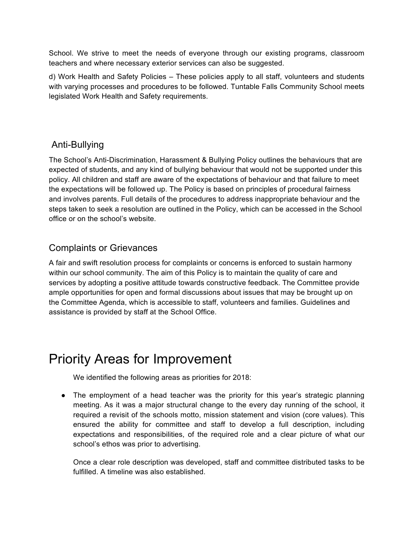School. We strive to meet the needs of everyone through our existing programs, classroom teachers and where necessary exterior services can also be suggested.

d) Work Health and Safety Policies – These policies apply to all staff, volunteers and students with varying processes and procedures to be followed. Tuntable Falls Community School meets legislated Work Health and Safety requirements.

#### Anti-Bullying

The School's Anti-Discrimination, Harassment & Bullying Policy outlines the behaviours that are expected of students, and any kind of bullying behaviour that would not be supported under this policy. All children and staff are aware of the expectations of behaviour and that failure to meet the expectations will be followed up. The Policy is based on principles of procedural fairness and involves parents. Full details of the procedures to address inappropriate behaviour and the steps taken to seek a resolution are outlined in the Policy, which can be accessed in the School office or on the school's website.

### Complaints or Grievances

A fair and swift resolution process for complaints or concerns is enforced to sustain harmony within our school community. The aim of this Policy is to maintain the quality of care and services by adopting a positive attitude towards constructive feedback. The Committee provide ample opportunities for open and formal discussions about issues that may be brought up on the Committee Agenda, which is accessible to staff, volunteers and families. Guidelines and assistance is provided by staff at the School Office.

# Priority Areas for Improvement

We identified the following areas as priorities for 2018:

• The employment of a head teacher was the priority for this year's strategic planning meeting. As it was a major structural change to the every day running of the school, it required a revisit of the schools motto, mission statement and vision (core values). This ensured the ability for committee and staff to develop a full description, including expectations and responsibilities, of the required role and a clear picture of what our school's ethos was prior to advertising.

Once a clear role description was developed, staff and committee distributed tasks to be fulfilled. A timeline was also established.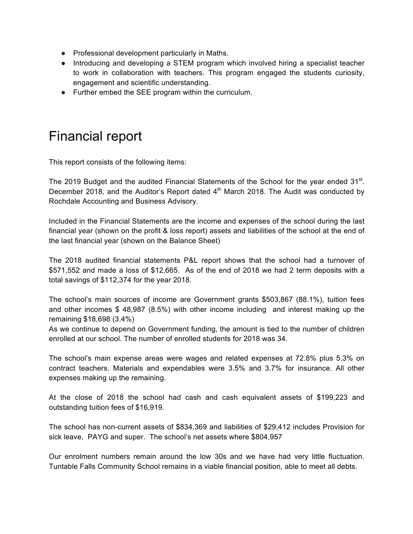- Professional development particularly in Maths.
- Introducing and developing a STEM program which involved hiring a specialist teacher to work in collaboration with teachers. This program engaged the students curiosity, engagement and scientific understanding.
- Further embed the SEE program within the curriculum.

# Financial report

This report consists of the following items:

The 2019 Budget and the audited Financial Statements of the School for the year ended  $31<sup>st</sup>$ . December 2018, and the Auditor's Report dated  $4<sup>th</sup>$  March 2018. The Audit was conducted by Rochdale Accounting and Business Advisory.

Included in the Financial Statements are the income and expenses of the school during the last financial year (shown on the profit & loss report) assets and liabilities of the school at the end of the last financial year (shown on the Balance Sheet)

The 2018 audited financial statements P&L report shows that the school had a turnover of \$571,552 and made a loss of \$12,665. As of the end of 2018 we had 2 term deposits with a total savings of \$112,374 for the year 2018.

The school's main sources of income are Government grants \$503,867 (88.1%), tuition fees and other incomes \$ 48,987 (8.5%) with other income including and interest making up the remaining \$18,698 (3.4%)

As we continue to depend on Government funding, the amount is tied to the number of children enrolled at our school. The number of enrolled students for 2018 was 34.

The school's main expense areas were wages and related expenses at 72.8% plus 5.3% on contract teachers. Materials and expendables were 3.5% and 3.7% for insurance. All other expenses making up the remaining.

At the close of 2018 the school had cash and cash equivalent assets of \$199,223 and outstanding tuition fees of \$16,919.

The school has non-current assets of \$834,369 and liabilities of \$29,412 includes Provision for sick leave, PAYG and super. The school's net assets where \$804,957

Our enrolment numbers remain around the low 30s and we have had very little fluctuation. Tuntable Falls Community School remains in a viable financial position, able to meet all debts.